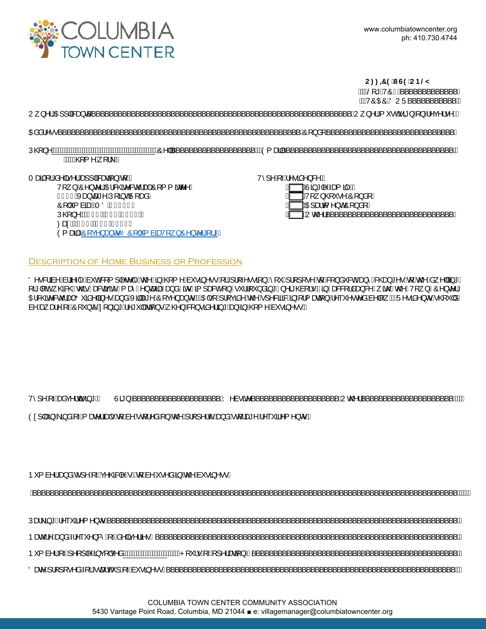

|                                                                                                                                                                                                                                                                                                                                                                                                                                                                                                                                                            | $C: 791G9C$ B@M<br>ÁWSE * ÁVÔAK ' ' ' ' ' ' ' ' ' ' ' ' ' A<br><i>Ĭ</i> ₩ÒŒÒÄÖUÜ´´´´´´´´´´´´´´´´                                 |
|------------------------------------------------------------------------------------------------------------------------------------------------------------------------------------------------------------------------------------------------------------------------------------------------------------------------------------------------------------------------------------------------------------------------------------------------------------------------------------------------------------------------------------------------------------|----------------------------------------------------------------------------------------------------------------------------------|
| $U_{\rm s}$ }^¦E00E]] a3&æ}c´                                                                                                                                                                                                                                                                                                                                                                                                                                                                                                                              | ´´´´´CU¸ }^¦Á( `•cÁã}Á}Á^ç^¦•^DÁ                                                                                                 |
| 0āå¦^••                                                                                                                                                                                                                                                                                                                                                                                                                                                                                                                                                    |                                                                                                                                  |
| Á4¥ÁQQ2{^Đ,[¦∖DÁ∖                                                                                                                                                                                                                                                                                                                                                                                                                                                                                                                                          |                                                                                                                                  |
| TænáÁllÁs^ aç^¦Áse}] aRænaã}An[KA<br>V[ } AO ^ } c ^   AO HE & G & ^ & c   ao 4O [ { { $\tilde{a}$ c ^ ^ A<br>Íl <del>H</del> €ÁXæ}cæ*^ÁÚ[ā}oÁÜ[æåÁ<br>Ô   ĭ { àãæéÃTÖÁGF€IIÁ<br>ÚQ2}^KÁQCF€DÁÄH€ËÏIIÁÁ<br>Øæ¢KÁQ FEDÁ HEÏFÌ GHÁ<br>$\frac{1}{2}$ and $\frac{1}{2}$ $\frac{1}{2}$ $\frac{1}{2}$ $\frac{1}{2}$ $\frac{1}{2}$ $\frac{1}{2}$ $\frac{1}{2}$ $\frac{1}{2}$ $\frac{1}{2}$ $\frac{1}{2}$ $\frac{1}{2}$ $\frac{1}{2}$ $\frac{1}{2}$ $\frac{1}{2}$ $\frac{1}{2}$ $\frac{1}{2}$ $\frac{1}{2}$ $\frac{1}{2}$ $\frac{1}{2}$ $\frac{1}{2}$ $\frac{1}{2$ | V^]^Á[⊶Á^∙ãå^}&^KÁ<br>∏AÙã*∣^Aæ(ãrA∖<br>$A^{U_{1}}$ , $Y^{U_{2}}$<br>$A^{U_{3}}$ and $\lambda$ of $\lambda$ and $\lambda$<br>$A$ |

Description of Home Business or Profession

Ö^•&|äa^Áa¦ã\-{Áa~oÁ&[{]|^c^|^Áo@^Á∃ËQ?{^Áa~•ã{^••Á{¦Á}¦[~^••ã{}Á`[`Á]¦[][•^Áq{Á&[}å~&d<del>Ũao}</del>^Á&@ea}\*^•Áq{Áo@^Áa<sub>s</sub>^||ĝ\*/ [¦A|[cA] @&@Ac@éAæ&qã;ãčA{æîA^}cæã|EAa}åAãorAã{]ae&cA[}A•ˇ¦¦[ˇ}åã]\*A}^ã @à[¦•EA3}Aae&a[¦åaa}&^A¸ão@Ac@^AV[¸}AO^}c^¦/ OE&@&^&c`laakOO`ãa^|ã}^●Aaa}åAXã|ae\*^AO[ç^}aa}orEAKDE+[A}¦[çãa^Ao②Ar]^&ãa3&Aã}-{¦{aaaã}A^``^●c^åAà^|[¸EAU^●ãa^}orA-@{`|å*l* à^Aæ;æ!^A[~AO[ˇ}c̃A.[}ā,\*A^\*ˇ|ææā[}∙A}@}A&[}•āâ^¦ā,\*Aæ}A§E@{{^Aàˇ∙āj^•∙E

|--|--|--|--|--|

Ò¢]|æãjÁãjåÁj-Áj æv¦ãæþ+ÁtjÁa^Áq{^åÂj}Áo@Á¦[]^¦ćÁæjåÁq{¦æ\*^Á^``ã^{^}o+ĚÁ

| <b>b</b> { a^ { a a } a a } a ^ { a ^ } a a } a ^ { a ^ { a } a ^ c } a } a ^ e a A + ^ a ^ a A + a A + a A |  |
|-------------------------------------------------------------------------------------------------------------|--|
|                                                                                                             |  |
|                                                                                                             |  |
|                                                                                                             |  |
|                                                                                                             |  |